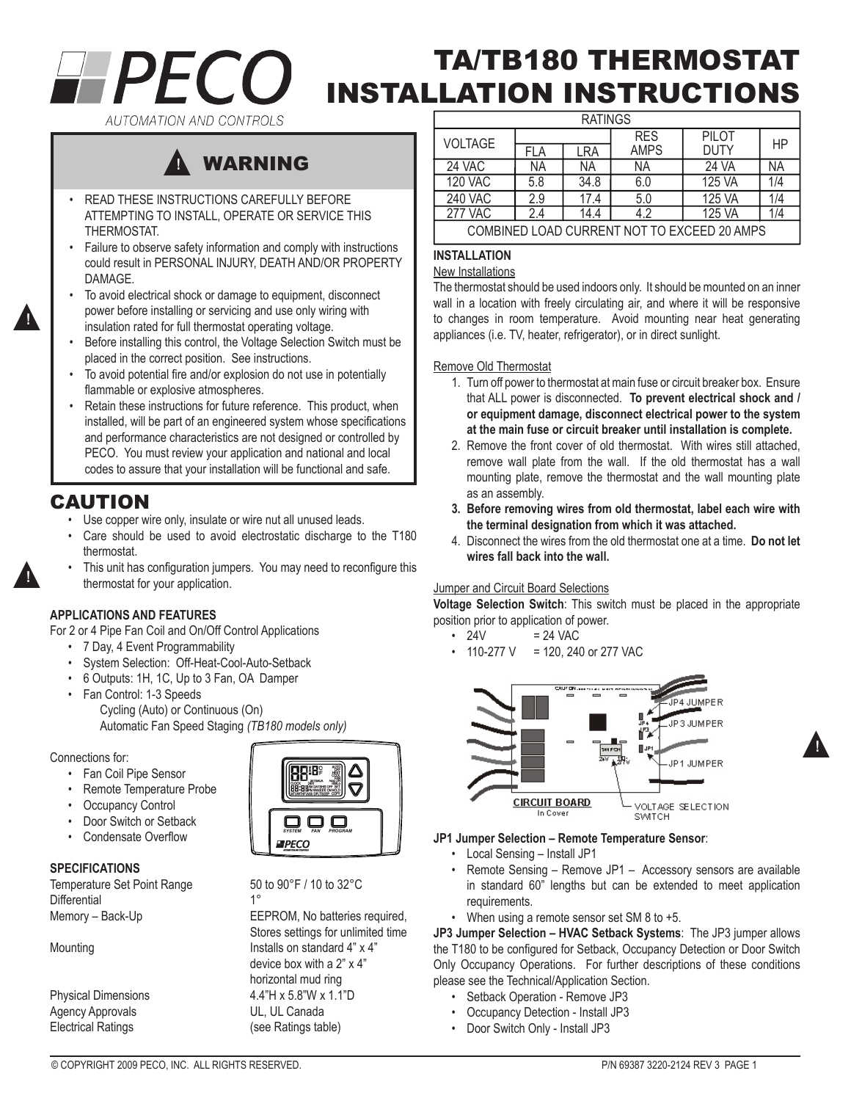# **HPECO**

# TA/TB180 THERMOSTAT INSTALLATION INSTRUCTIONS

AUTOMATION AND CONTROLS

### WARNING ▲**!**

- READ THESE INSTRUCTIONS CAREFULLY BEFORE ATTEMPTING TO INSTALL, OPERATE OR SERVICE THIS THERMOSTAT.
- Failure to observe safety information and comply with instructions could result in PERSONAL INJURY, DEATH AND/OR PROPERTY DAMAGE.
- To avoid electrical shock or damage to equipment, disconnect power before installing or servicing and use only wiring with insulation rated for full thermostat operating voltage.
- Before installing this control, the Voltage Selection Switch must be placed in the correct position. See instructions.
- To avoid potential fire and/or explosion do not use in potentially flammable or explosive atmospheres.
- Retain these instructions for future reference. This product, when installed, will be part of an engineered system whose specifications and performance characteristics are not designed or controlled by PECO. You must review your application and national and local codes to assure that your installation will be functional and safe.

## CAUTION

▲**!**

▲**!**

- • Use copper wire only, insulate or wire nut all unused leads.
- • Care should be used to avoid electrostatic discharge to the T180 thermostat.
- This unit has configuration jumpers. You may need to reconfigure this thermostat for your application.

#### **APPLICATIONS AND FEATURES**

For 2 or 4 Pipe Fan Coil and On/Off Control Applications

- • 7 Day, 4 Event Programmability
- • System Selection: Off-Heat-Cool-Auto-Setback
- • 6 Outputs: 1H, 1C, Up to 3 Fan, OA Damper
- • Fan Control: 1-3 Speeds Cycling (Auto) or Continuous (On) Automatic Fan Speed Staging *(TB180 models only)*

#### Connections for:

- • Fan Coil Pipe Sensor
- • Remote Temperature Probe
- Occupancy Control
- Door Switch or Setback
- Condensate Overflow

#### **SPECIFICATIONS**

Temperature Set Point Range 50 to 90°F / 10 to 32°C Differential 1° Memory – Back-Up **EEPROM**, No batteries required,

Agency Approvals Electrical Ratings **and Contact Contact Contact Contact Contact Contact Contact Contact Contact Contact Contact Contact Contact Contact Contact Contact Contact Contact Contact Contact Contact Contact Contact Contact Contac** 



 Stores settings for unlimited time Mounting Mounting Mounting Mounting Mounting Mounting Mounting Mounting Mounting Mounting Mounting Mounting Mo device box with a 2" x 4" horizontal mud ring Physical Dimensions<br>
Agency Approvals<br>
UL, UL Canada

| <b>RATINGS</b>                              |            |      |             |             |     |  |  |
|---------------------------------------------|------------|------|-------------|-------------|-----|--|--|
| VOLTAGE                                     |            |      | <b>RES</b>  | PILOT       | НP  |  |  |
|                                             | <b>FLA</b> | LRA  | <b>AMPS</b> | <b>DUTY</b> |     |  |  |
| 24 VAC                                      | ΝA         | ΝA   | ΝA          | 24 VA       | ΝA  |  |  |
| <b>120 VAC</b>                              | 5.8        | 34.8 | 6.0         | 125 VA      | 1/4 |  |  |
| <b>240 VAC</b>                              | 2.9        | 17.4 | 5.0         | 125 VA      | 1/4 |  |  |
| <b>277 VAC</b>                              | 2.4        | 14.4 | 4.2         | 125 VA      | 1/4 |  |  |
| COMBINED LOAD CURRENT NOT TO EXCEED 20 AMPS |            |      |             |             |     |  |  |

#### **INSTALLATION**

#### New Installations

The thermostat should be used indoors only. It should be mounted on an inner wall in a location with freely circulating air, and where it will be responsive to changes in room temperature. Avoid mounting near heat generating appliances (i.e. TV, heater, refrigerator), or in direct sunlight.

#### Remove Old Thermostat

- 1. Turn off power to thermostat at main fuse or circuit breaker box. Ensure that ALL power is disconnected. **To prevent electrical shock and / or equipment damage, disconnect electrical power to the system at the main fuse or circuit breaker until installation is complete.**
- 2. Remove the front cover of old thermostat. With wires still attached, remove wall plate from the wall. If the old thermostat has a wall mounting plate, remove the thermostat and the wall mounting plate as an assembly.
- **3. Before removing wires from old thermostat, label each wire with the terminal designation from which it was attached.**
- 4. Disconnect the wires from the old thermostat one at a time. **Do not let wires fall back into the wall.**

#### **Jumper and Circuit Board Selections**

**Voltage Selection Switch**: This switch must be placed in the appropriate position prior to application of power.

- $\cdot$  24V = 24 VAC
	- 110-277 V = 120, 240 or 277 VAC



#### **JP1 Jumper Selection – Remote Temperature Sensor**:

- Local Sensing Install JP1
- Remote Sensing Remove JP1 Accessory sensors are available in standard 60" lengths but can be extended to meet application requirements.
- • When using a remote sensor set SM 8 to +5.

**JP3 Jumper Selection – HVAC Setback Systems**: The JP3 jumper allows the T180 to be configured for Setback, Occupancy Detection or Door Switch Only Occupancy Operations. For further descriptions of these conditions please see the Technical/Application Section.

- • Setback Operation Remove JP3
- • Occupancy Detection Install JP3
- • Door Switch Only Install JP3

▲**!**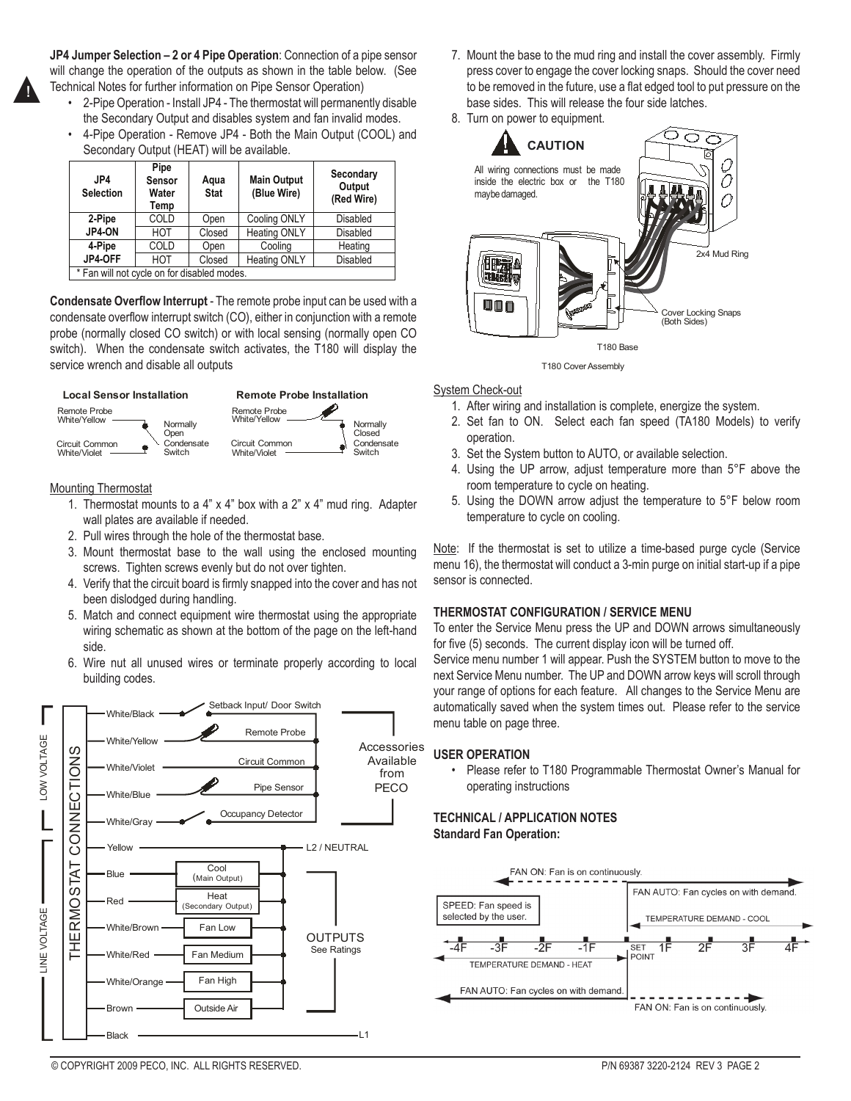

**JP4 Jumper Selection – 2 or 4 Pipe Operation**: Connection of a pipe sensor will change the operation of the outputs as shown in the table below. (See Technical Notes for further information on Pipe Sensor Operation)

- 2-Pipe Operation Install JP4 The thermostat will permanently disable the Secondary Output and disables system and fan invalid modes.
- • 4-Pipe Operation Remove JP4 Both the Main Output (COOL) and Secondary Output (HEAT) will be available.

| JP4<br><b>Selection</b>                     | Pipe<br>Sensor<br>Water<br>Temp | Aqua<br><b>Stat</b> | <b>Main Output</b><br>(Blue Wire) | Secondary<br>Output<br>(Red Wire) |  |
|---------------------------------------------|---------------------------------|---------------------|-----------------------------------|-----------------------------------|--|
| 2-Pipe                                      | COLD                            | Open                | Cooling ONLY                      | Disabled                          |  |
| JP4-ON                                      | HOT                             | Closed              | <b>Heating ONLY</b>               | Disabled                          |  |
| 4-Pipe                                      | COLD                            | Open                | Coolina                           | Heating                           |  |
| JP4-OFF                                     | HOT                             | Closed              | <b>Heating ONLY</b>               | Disabled                          |  |
| * Fan will not cycle on for disabled modes. |                                 |                     |                                   |                                   |  |

**Condensate Overflow Interrupt** - The remote probe input can be used with a condensate overflow interrupt switch (CO), either in conjunction with a remote probe (normally closed CO switch) or with local sensing (normally open CO switch). When the condensate switch activates, the T180 will display the service wrench and disable all outputs



#### Mounting Thermostat

- 1. Thermostat mounts to a 4" x 4" box with a  $2$ " x 4" mud ring. Adapter wall plates are available if needed.
- 2. Pull wires through the hole of the thermostat base.
- 3. Mount thermostat base to the wall using the enclosed mounting screws. Tighten screws evenly but do not over tighten.
- 4. Verify that the circuit board is firmly snapped into the cover and has not been dislodged during handling.
- 5. Match and connect equipment wire thermostat using the appropriate wiring schematic as shown at the bottom of the page on the left-hand side.
- 6. Wire nut all unused wires or terminate properly according to local building codes.



- 7. Mount the base to the mud ring and install the cover assembly. Firmly press cover to engage the cover locking snaps. Should the cover need to be removed in the future, use a flat edged tool to put pressure on the base sides. This will release the four side latches.
- 8. Turn on power to equipment.



#### T180 Cover Assembly

#### **System Check-out**

- 1. After wiring and installation is complete, energize the system.
- 2. Set fan to ON. Select each fan speed (TA180 Models) to verify operation.
- 3. Set the System button to AUTO, or available selection.
- 4. Using the UP arrow, adjust temperature more than 5°F above the room temperature to cycle on heating.
- 5. Using the DOWN arrow adjust the temperature to 5°F below room temperature to cycle on cooling.

Note: If the thermostat is set to utilize a time-based purge cycle (Service menu 16), the thermostat will conduct a 3-min purge on initial start-up if a pipe sensor is connected.

#### **THERMOSTAT CONFIGURATION / SERVICE MENU**

To enter the Service Menu press the UP and DOWN arrows simultaneously for five (5) seconds. The current display icon will be turned off.

Service menu number 1 will appear. Push the SYSTEM button to move to the next Service Menu number. The UP and DOWN arrow keys will scroll through your range of options for each feature. All changes to the Service Menu are automatically saved when the system times out. Please refer to the service menu table on page three.

#### **USER OPERATION**

• Please refer to T180 Programmable Thermostat Owner's Manual for operating instructions

#### **TECHNICAL / APPLICATION NOTES Standard Fan Operation:**

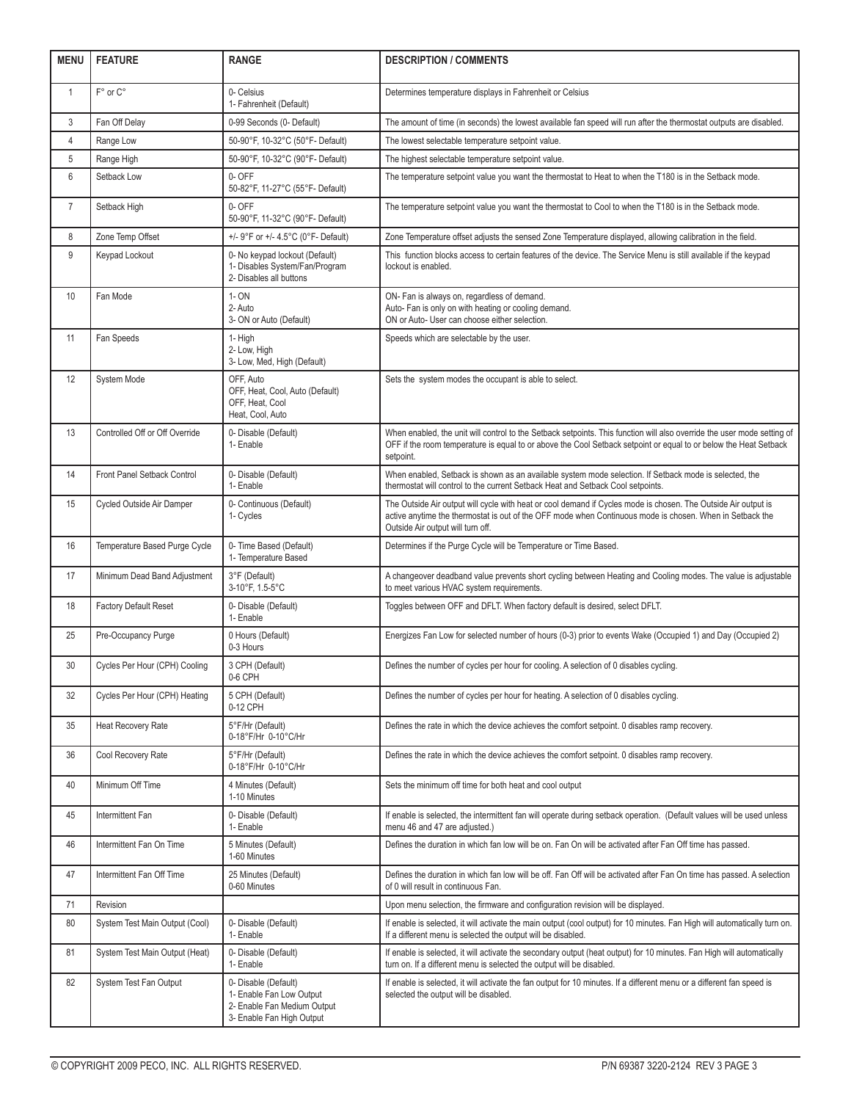| <b>MENU</b>    | <b>FEATURE</b>                 | <b>RANGE</b>                                                                                                 | <b>DESCRIPTION / COMMENTS</b>                                                                                                                                                                                                                                   |  |  |
|----------------|--------------------------------|--------------------------------------------------------------------------------------------------------------|-----------------------------------------------------------------------------------------------------------------------------------------------------------------------------------------------------------------------------------------------------------------|--|--|
| $\mathbf{1}$   | F° or C°                       | 0- Celsius<br>1- Fahrenheit (Default)                                                                        | Determines temperature displays in Fahrenheit or Celsius                                                                                                                                                                                                        |  |  |
| 3              | Fan Off Delay                  | 0-99 Seconds (0- Default)                                                                                    | The amount of time (in seconds) the lowest available fan speed will run after the thermostat outputs are disabled.                                                                                                                                              |  |  |
| $\overline{4}$ | Range Low                      | 50-90°F, 10-32°C (50°F- Default)                                                                             | The lowest selectable temperature setpoint value.                                                                                                                                                                                                               |  |  |
| 5              | Range High                     | 50-90°F, 10-32°C (90°F- Default)                                                                             | The highest selectable temperature setpoint value.                                                                                                                                                                                                              |  |  |
| 6              | Setback Low                    | 0- OFF<br>50-82°F, 11-27°C (55°F- Default)                                                                   | The temperature setpoint value you want the thermostat to Heat to when the T180 is in the Setback mode.                                                                                                                                                         |  |  |
| $\overline{7}$ | Setback High                   | 0- OFF<br>50-90°F, 11-32°C (90°F- Default)                                                                   | The temperature setpoint value you want the thermostat to Cool to when the T180 is in the Setback mode.                                                                                                                                                         |  |  |
| 8              | Zone Temp Offset               | +/- 9°F or +/- 4.5°C (0°F- Default)                                                                          | Zone Temperature offset adjusts the sensed Zone Temperature displayed, allowing calibration in the field.                                                                                                                                                       |  |  |
| 9              | Keypad Lockout                 | 0- No keypad lockout (Default)<br>1- Disables System/Fan/Program<br>2- Disables all buttons                  | This function blocks access to certain features of the device. The Service Menu is still available if the keypad<br>lockout is enabled.                                                                                                                         |  |  |
| 10             | Fan Mode                       | 1- ON<br>2- Auto<br>3- ON or Auto (Default)                                                                  | ON- Fan is always on, regardless of demand.<br>Auto- Fan is only on with heating or cooling demand.<br>ON or Auto- User can choose either selection.                                                                                                            |  |  |
| 11             | Fan Speeds                     | 1- High<br>2- Low, High<br>3- Low, Med, High (Default)                                                       | Speeds which are selectable by the user.                                                                                                                                                                                                                        |  |  |
| 12             | System Mode                    | OFF, Auto<br>OFF, Heat, Cool, Auto (Default)<br>OFF, Heat, Cool<br>Heat, Cool, Auto                          | Sets the system modes the occupant is able to select.                                                                                                                                                                                                           |  |  |
| 13             | Controlled Off or Off Override | 0- Disable (Default)<br>1- Enable                                                                            | When enabled, the unit will control to the Setback setpoints. This function will also override the user mode setting of<br>OFF if the room temperature is equal to or above the Cool Setback setpoint or equal to or below the Heat Setback<br>setpoint.        |  |  |
| 14             | Front Panel Setback Control    | 0- Disable (Default)<br>1- Enable                                                                            | When enabled, Setback is shown as an available system mode selection. If Setback mode is selected, the<br>thermostat will control to the current Setback Heat and Setback Cool setpoints.                                                                       |  |  |
| 15             | Cycled Outside Air Damper      | 0- Continuous (Default)<br>1- Cycles                                                                         | The Outside Air output will cycle with heat or cool demand if Cycles mode is chosen. The Outside Air output is<br>active anytime the thermostat is out of the OFF mode when Continuous mode is chosen. When in Setback the<br>Outside Air output will turn off. |  |  |
| 16             | Temperature Based Purge Cycle  | 0- Time Based (Default)<br>1- Temperature Based                                                              | Determines if the Purge Cycle will be Temperature or Time Based.                                                                                                                                                                                                |  |  |
| 17             | Minimum Dead Band Adjustment   | 3°F (Default)<br>3-10°F, 1.5-5°C                                                                             | A changeover deadband value prevents short cycling between Heating and Cooling modes. The value is adjustable<br>to meet various HVAC system requirements.                                                                                                      |  |  |
| 18             | <b>Factory Default Reset</b>   | 0- Disable (Default)<br>1- Enable                                                                            | Toggles between OFF and DFLT. When factory default is desired, select DFLT.                                                                                                                                                                                     |  |  |
| 25             | Pre-Occupancy Purge            | 0 Hours (Default)<br>0-3 Hours                                                                               | Energizes Fan Low for selected number of hours (0-3) prior to events Wake (Occupied 1) and Day (Occupied 2)                                                                                                                                                     |  |  |
| 30             | Cycles Per Hour (CPH) Cooling  | 3 CPH (Default)<br>0-6 CPH                                                                                   | Defines the number of cycles per hour for cooling. A selection of 0 disables cycling.                                                                                                                                                                           |  |  |
| 32             | Cycles Per Hour (CPH) Heating  | 5 CPH (Default)<br>0-12 CPH                                                                                  | Defines the number of cycles per hour for heating. A selection of 0 disables cycling.                                                                                                                                                                           |  |  |
| 35             | Heat Recovery Rate             | 5°F/Hr (Default)<br>0-18°F/Hr 0-10°C/Hr                                                                      | Defines the rate in which the device achieves the comfort setpoint. O disables ramp recovery.                                                                                                                                                                   |  |  |
| 36             | Cool Recovery Rate             | 5°F/Hr (Default)<br>0-18°F/Hr 0-10°C/Hr                                                                      | Defines the rate in which the device achieves the comfort setpoint. 0 disables ramp recovery.                                                                                                                                                                   |  |  |
| 40             | Minimum Off Time               | 4 Minutes (Default)<br>1-10 Minutes                                                                          | Sets the minimum off time for both heat and cool output                                                                                                                                                                                                         |  |  |
| 45             | Intermittent Fan               | 0- Disable (Default)<br>1- Enable                                                                            | If enable is selected, the intermittent fan will operate during setback operation. (Default values will be used unless<br>menu 46 and 47 are adjusted.)                                                                                                         |  |  |
| 46             | Intermittent Fan On Time       | 5 Minutes (Default)<br>1-60 Minutes                                                                          | Defines the duration in which fan low will be on. Fan On will be activated after Fan Off time has passed.                                                                                                                                                       |  |  |
| 47             | Intermittent Fan Off Time      | 25 Minutes (Default)<br>0-60 Minutes                                                                         | Defines the duration in which fan low will be off. Fan Off will be activated after Fan On time has passed. A selection<br>of 0 will result in continuous Fan.                                                                                                   |  |  |
| 71             | Revision                       |                                                                                                              | Upon menu selection, the firmware and configuration revision will be displayed.                                                                                                                                                                                 |  |  |
| 80             | System Test Main Output (Cool) | 0- Disable (Default)<br>1- Enable                                                                            | If enable is selected, it will activate the main output (cool output) for 10 minutes. Fan High will automatically turn on.<br>If a different menu is selected the output will be disabled.                                                                      |  |  |
| 81             | System Test Main Output (Heat) | 0- Disable (Default)<br>1- Enable                                                                            | If enable is selected, it will activate the secondary output (heat output) for 10 minutes. Fan High will automatically<br>turn on. If a different menu is selected the output will be disabled.                                                                 |  |  |
| 82             | System Test Fan Output         | 0- Disable (Default)<br>1- Enable Fan Low Output<br>2- Enable Fan Medium Output<br>3- Enable Fan High Output | If enable is selected, it will activate the fan output for 10 minutes. If a different menu or a different fan speed is<br>selected the output will be disabled.                                                                                                 |  |  |